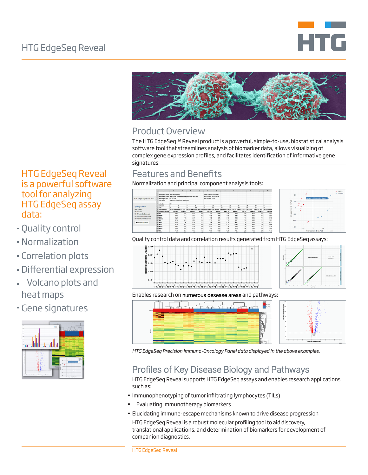



## Product Overview

The HTG EdgeSeqTM Reveal product is a powerful, simple-to-use, biostatistical analysis software tool that streamlines analysis of biomarker data, allows visualizing of complex gene expression profiles, and facilitates identification of informative gene signatures.

## Features and Benefits

Normalization and principal component analysis tools:





Quality control data and correlation results generated from HTG EdgeSeq assays:





Enables research on numerous desease areas and pathways:



*HTG EdgeSeq Precision Immuno-Oncology Panel data displayed in the above examples.*

# Profiles of Key Disease Biology and Pathways

HTG EdgeSeq Reveal supports HTG EdgeSeq assays and enables research applications such as:

- **Immunophenotyping of tumor infiltrating lymphocytes (TILs)**
- Evaluating immunotherapy biomarkers a,
- Elucidating immune-escape mechanisms known to drive disease progression

HTG EdgeSeq Reveal is a robust molecular profiling tool to aid discovery, translational applications, and determination of biomarkers for development of companion diagnostics.

### HTG EdgeSeq Reveal is a powerful software tool for analyzing HTG EdgeSeq assay data:

- Quality control
- Normalization
- Correlation plots
- Differential expression
- Volcano plots and heat maps
- Gene signatures